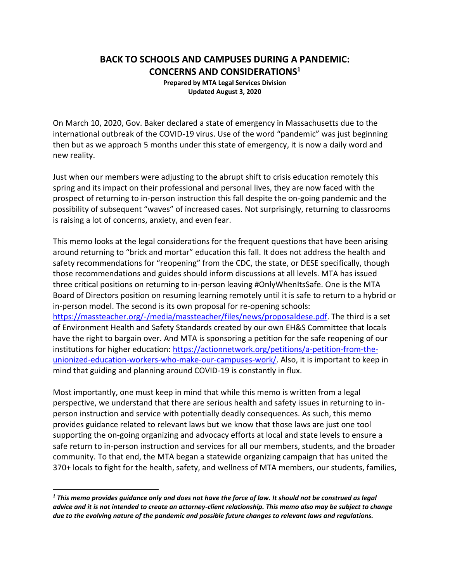# **BACK TO SCHOOLS AND CAMPUSES DURING A PANDEMIC: CONCERNS AND CONSIDERATIONS<sup>1</sup>**

**Prepared by MTA Legal Services Division Updated August 3, 2020**

On March 10, 2020, Gov. Baker declared a state of emergency in Massachusetts due to the international outbreak of the COVID-19 virus. Use of the word "pandemic" was just beginning then but as we approach 5 months under this state of emergency, it is now a daily word and new reality.

Just when our members were adjusting to the abrupt shift to crisis education remotely this spring and its impact on their professional and personal lives, they are now faced with the prospect of returning to in-person instruction this fall despite the on-going pandemic and the possibility of subsequent "waves" of increased cases. Not surprisingly, returning to classrooms is raising a lot of concerns, anxiety, and even fear.

This memo looks at the legal considerations for the frequent questions that have been arising around returning to "brick and mortar" education this fall. It does not address the health and safety recommendations for "reopening" from the CDC, the state, or DESE specifically, though those recommendations and guides should inform discussions at all levels. MTA has issued three critical positions on returning to in-person leaving #OnlyWhenItsSafe. One is the MTA Board of Directors position on resuming learning remotely until it is safe to return to a hybrid or in-person model. The second is its own proposal for re-opening schools: [https://massteacher.org/-/media/massteacher/files/news/proposaldese.pdf.](https://massteacher.org/-/media/massteacher/files/news/proposaldese.pdf) The third is a set of Environment Health and Safety Standards created by our own EH&S Committee that locals have the right to bargain over. And MTA is sponsoring a petition for the safe reopening of our institutions for higher education: [https://actionnetwork.org/petitions/a-petition-from-the](https://actionnetwork.org/petitions/a-petition-from-the-unionized-education-workers-who-make-our-campuses-work/)[unionized-education-workers-who-make-our-campuses-work/.](https://actionnetwork.org/petitions/a-petition-from-the-unionized-education-workers-who-make-our-campuses-work/) Also, it is important to keep in mind that guiding and planning around COVID-19 is constantly in flux.

Most importantly, one must keep in mind that while this memo is written from a legal perspective, we understand that there are serious health and safety issues in returning to inperson instruction and service with potentially deadly consequences. As such, this memo provides guidance related to relevant laws but we know that those laws are just one tool supporting the on-going organizing and advocacy efforts at local and state levels to ensure a safe return to in-person instruction and services for all our members, students, and the broader community. To that end, the MTA began a statewide organizing campaign that has united the 370+ locals to fight for the health, safety, and wellness of MTA members, our students, families,

*<sup>1</sup> This memo provides guidance only and does not have the force of law. It should not be construed as legal advice and it is not intended to create an attorney-client relationship. This memo also may be subject to change due to the evolving nature of the pandemic and possible future changes to relevant laws and regulations.*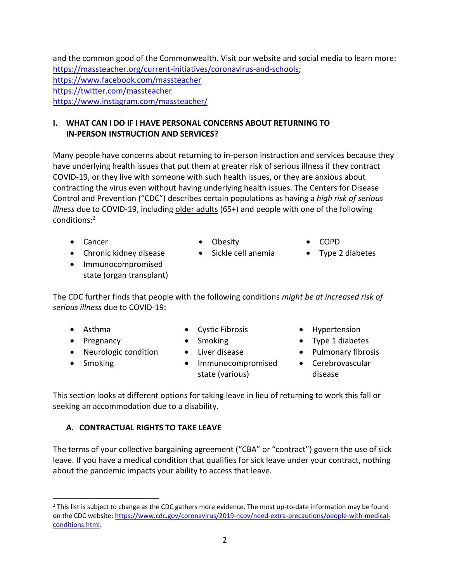and the common good of the Commonwealth. Visit our website and social media to learn more: [https://massteacher.org/current-initiatives/coronavirus-and-schools;](https://massteacher.org/current-initiatives/coronavirus-and-schools) <https://www.facebook.com/massteacher> <https://twitter.com/massteacher> <https://www.instagram.com/massteacher/>

### **I. WHAT CAN I DO IF I HAVE PERSONAL CONCERNS ABOUT RETURNING TO IN-PERSON INSTRUCTION AND SERVICES?**

Many people have concerns about returning to in-person instruction and services because they have underlying health issues that put them at greater risk of serious illness if they contract COVID-19, or they live with someone with such health issues, or they are anxious about contracting the virus even without having underlying health issues. The Centers for Disease Control and Prevention ("CDC") describes certain populations as having a *high risk of serious illness* due to COVID-19, including older adults (65+) and people with one of the following conditions:<sup>2</sup>

- 
- Chronic kidney disease Sickle cell anemia Type 2 diabetes
- Immunocompromised state (organ transplant)
- Cancer • Obesity COPD
	-
- -

The CDC further finds that people with the following conditions *might be at increased risk of serious illness* due to COVID-19:

- 
- 
- Neurologic condition Liver disease Pulmonary fibrosis
- 
- 
- 
- 
- Smoking **•** Immunocompromised state (various)
- Asthma Cystic Fibrosis Hypertension
- Pregnancy Smoking Type 1 diabetes
	-
	- Cerebrovascular disease

This section looks at different options for taking leave in lieu of returning to work this fall or seeking an accommodation due to a disability.

### **A. CONTRACTUAL RIGHTS TO TAKE LEAVE**

The terms of your collective bargaining agreement ("CBA" or "contract") govern the use of sick leave. If you have a medical condition that qualifies for sick leave under your contract, nothing about the pandemic impacts your ability to access that leave.

<sup>&</sup>lt;sup>2</sup> This list is subject to change as the CDC gathers more evidence. The most up-to-date information may be found on the CDC website[: https://www.cdc.gov/coronavirus/2019-ncov/need-extra-precautions/people-with-medical](https://www.cdc.gov/coronavirus/2019-ncov/need-extra-precautions/people-with-medical-conditions.html)[conditions.html.](https://www.cdc.gov/coronavirus/2019-ncov/need-extra-precautions/people-with-medical-conditions.html)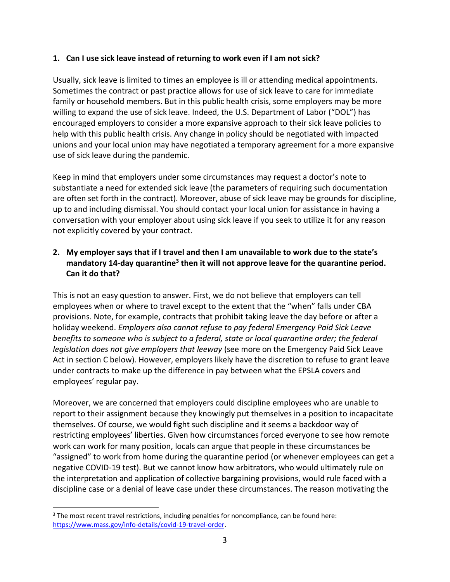#### **1. Can I use sick leave instead of returning to work even if I am not sick?**

Usually, sick leave is limited to times an employee is ill or attending medical appointments. Sometimes the contract or past practice allows for use of sick leave to care for immediate family or household members. But in this public health crisis, some employers may be more willing to expand the use of sick leave. Indeed, the U.S. Department of Labor ("DOL") has encouraged employers to consider a more expansive approach to their sick leave policies to help with this public health crisis. Any change in policy should be negotiated with impacted unions and your local union may have negotiated a temporary agreement for a more expansive use of sick leave during the pandemic.

Keep in mind that employers under some circumstances may request a doctor's note to substantiate a need for extended sick leave (the parameters of requiring such documentation are often set forth in the contract). Moreover, abuse of sick leave may be grounds for discipline, up to and including dismissal. You should contact your local union for assistance in having a conversation with your employer about using sick leave if you seek to utilize it for any reason not explicitly covered by your contract.

### **2. My employer says that if I travel and then I am unavailable to work due to the state's**  mandatory 14-day quarantine<sup>3</sup> then it will not approve leave for the quarantine period. **Can it do that?**

This is not an easy question to answer. First, we do not believe that employers can tell employees when or where to travel except to the extent that the "when" falls under CBA provisions. Note, for example, contracts that prohibit taking leave the day before or after a holiday weekend. *Employers also cannot refuse to pay federal Emergency Paid Sick Leave benefits to someone who is subject to a federal, state or local quarantine order; the federal legislation does not give employers that leeway* (see more on the Emergency Paid Sick Leave Act in section C below). However, employers likely have the discretion to refuse to grant leave under contracts to make up the difference in pay between what the EPSLA covers and employees' regular pay.

Moreover, we are concerned that employers could discipline employees who are unable to report to their assignment because they knowingly put themselves in a position to incapacitate themselves. Of course, we would fight such discipline and it seems a backdoor way of restricting employees' liberties. Given how circumstances forced everyone to see how remote work can work for many position, locals can argue that people in these circumstances be "assigned" to work from home during the quarantine period (or whenever employees can get a negative COVID-19 test). But we cannot know how arbitrators, who would ultimately rule on the interpretation and application of collective bargaining provisions, would rule faced with a discipline case or a denial of leave case under these circumstances. The reason motivating the

<sup>&</sup>lt;sup>3</sup> The most recent travel restrictions, including penalties for noncompliance, can be found here: [https://www.mass.gov/info-details/covid-19-travel-order.](https://www.mass.gov/info-details/covid-19-travel-order)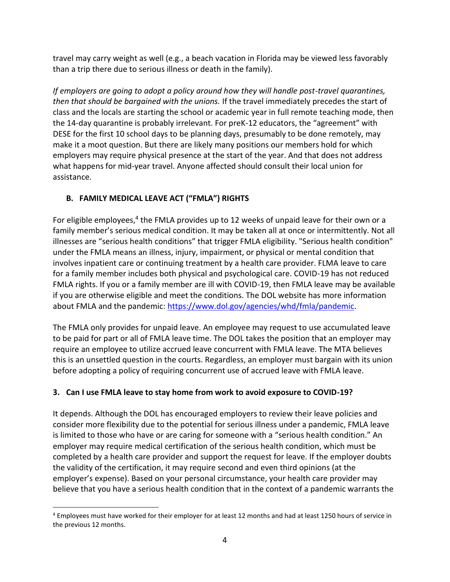travel may carry weight as well (e.g., a beach vacation in Florida may be viewed less favorably than a trip there due to serious illness or death in the family).

*If employers are going to adopt a policy around how they will handle post-travel quarantines, then that should be bargained with the unions.* If the travel immediately precedes the start of class and the locals are starting the school or academic year in full remote teaching mode, then the 14-day quarantine is probably irrelevant. For preK-12 educators, the "agreement" with DESE for the first 10 school days to be planning days, presumably to be done remotely, may make it a moot question. But there are likely many positions our members hold for which employers may require physical presence at the start of the year. And that does not address what happens for mid-year travel. Anyone affected should consult their local union for assistance.

# **B. FAMILY MEDICAL LEAVE ACT ("FMLA") RIGHTS**

For eligible employees,<sup>4</sup> the FMLA provides up to 12 weeks of unpaid leave for their own or a family member's serious medical condition. It may be taken all at once or intermittently. Not all illnesses are "serious health conditions" that trigger FMLA eligibility. "Serious health condition" under the FMLA means an illness, injury, impairment, or physical or mental condition that involves inpatient care or continuing treatment by a health care provider. FLMA leave to care for a family member includes both physical and psychological care. COVID-19 has not reduced FMLA rights. If you or a family member are ill with COVID-19, then FMLA leave may be available if you are otherwise eligible and meet the conditions. The DOL website has more information about FMLA and the pandemic: [https://www.dol.gov/agencies/whd/fmla/pandemic.](https://www.dol.gov/agencies/whd/fmla/pandemic)

The FMLA only provides for unpaid leave. An employee may request to use accumulated leave to be paid for part or all of FMLA leave time. The DOL takes the position that an employer may require an employee to utilize accrued leave concurrent with FMLA leave. The MTA believes this is an unsettled question in the courts. Regardless, an employer must bargain with its union before adopting a policy of requiring concurrent use of accrued leave with FMLA leave.

# **3. Can I use FMLA leave to stay home from work to avoid exposure to COVID-19?**

It depends. Although the DOL has encouraged employers to review their leave policies and consider more flexibility due to the potential for serious illness under a pandemic, FMLA leave is limited to those who have or are caring for someone with a "serious health condition." An employer may require medical certification of the serious health condition, which must be completed by a health care provider and support the request for leave. If the employer doubts the validity of the certification, it may require second and even third opinions (at the employer's expense). Based on your personal circumstance, your health care provider may believe that you have a serious health condition that in the context of a pandemic warrants the

<sup>4</sup> Employees must have worked for their employer for at least 12 months and had at least 1250 hours of service in the previous 12 months.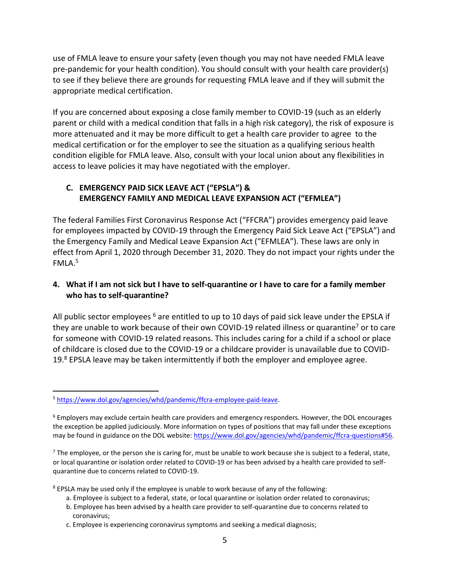use of FMLA leave to ensure your safety (even though you may not have needed FMLA leave pre-pandemic for your health condition). You should consult with your health care provider(s) to see if they believe there are grounds for requesting FMLA leave and if they will submit the appropriate medical certification.

If you are concerned about exposing a close family member to COVID-19 (such as an elderly parent or child with a medical condition that falls in a high risk category), the risk of exposure is more attenuated and it may be more difficult to get a health care provider to agree to the medical certification or for the employer to see the situation as a qualifying serious health condition eligible for FMLA leave. Also, consult with your local union about any flexibilities in access to leave policies it may have negotiated with the employer.

#### **C. EMERGENCY PAID SICK LEAVE ACT ("EPSLA") & EMERGENCY FAMILY AND MEDICAL LEAVE EXPANSION ACT ("EFMLEA")**

The federal Families First Coronavirus Response Act ("FFCRA") provides emergency paid leave for employees impacted by COVID-19 through the Emergency Paid Sick Leave Act ("EPSLA") and the Emergency Family and Medical Leave Expansion Act ("EFMLEA"). These laws are only in effect from April 1, 2020 through December 31, 2020. They do not impact your rights under the FMLA $^5$ 

### **4. What if I am not sick but I have to self-quarantine or I have to care for a family member who has to self-quarantine?**

All public sector employees  $6$  are entitled to up to 10 days of paid sick leave under the EPSLA if they are unable to work because of their own COVID-19 related illness or quarantine<sup>7</sup> or to care for someone with COVID-19 related reasons. This includes caring for a child if a school or place of childcare is closed due to the COVID-19 or a childcare provider is unavailable due to COVID-19.8 EPSLA leave may be taken intermittently if both the employer and employee agree.

 $<sup>7</sup>$  The employee, or the person she is caring for, must be unable to work because she is subject to a federal, state,</sup> or local quarantine or isolation order related to COVID-19 or has been advised by a health care provided to selfquarantine due to concerns related to COVID-19.

<sup>8</sup> EPSLA may be used only if the employee is unable to work because of any of the following:

- a. Employee is subject to a federal, state, or local quarantine or isolation order related to coronavirus;
- b. Employee has been advised by a health care provider to self-quarantine due to concerns related to coronavirus;
- c. Employee is experiencing coronavirus symptoms and seeking a medical diagnosis;

<sup>5</sup> [https://www.dol.gov/agencies/whd/pandemic/ffcra-employee-paid-leave.](https://www.dol.gov/agencies/whd/pandemic/ffcra-employee-paid-leave) 

<sup>&</sup>lt;sup>6</sup> Employers may exclude certain health care providers and emergency responders. However, the DOL encourages the exception be applied judiciously. More information on types of positions that may fall under these exceptions may be found in guidance on the DOL website: [https://www.dol.gov/agencies/whd/pandemic/ffcra-questions#56.](https://www.dol.gov/agencies/whd/pandemic/ffcra-questions#56)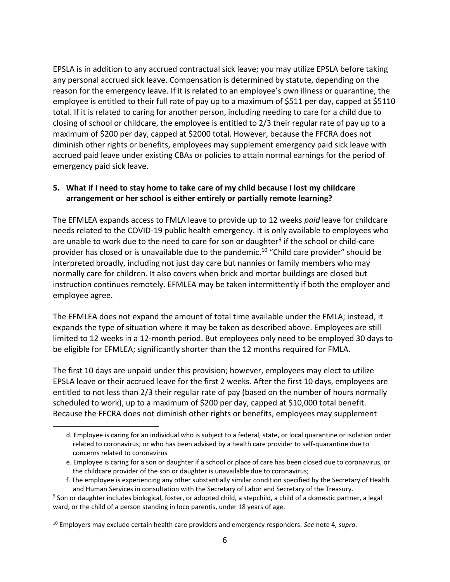EPSLA is in addition to any accrued contractual sick leave; you may utilize EPSLA before taking any personal accrued sick leave. Compensation is determined by statute, depending on the reason for the emergency leave. If it is related to an employee's own illness or quarantine, the employee is entitled to their full rate of pay up to a maximum of \$511 per day, capped at \$5110 total. If it is related to caring for another person, including needing to care for a child due to closing of school or childcare, the employee is entitled to 2/3 their regular rate of pay up to a maximum of \$200 per day, capped at \$2000 total. However, because the FFCRA does not diminish other rights or benefits, employees may supplement emergency paid sick leave with accrued paid leave under existing CBAs or policies to attain normal earnings for the period of emergency paid sick leave.

#### **5. What if I need to stay home to take care of my child because I lost my childcare arrangement or her school is either entirely or partially remote learning?**

The EFMLEA expands access to FMLA leave to provide up to 12 weeks *paid* leave for childcare needs related to the COVID-19 public health emergency. It is only available to employees who are unable to work due to the need to care for son or daughter<sup>9</sup> if the school or child-care provider has closed or is unavailable due to the pandemic.<sup>10</sup> "Child care provider" should be interpreted broadly, including not just day care but nannies or family members who may normally care for children. It also covers when brick and mortar buildings are closed but instruction continues remotely. EFMLEA may be taken intermittently if both the employer and employee agree.

The EFMLEA does not expand the amount of total time available under the FMLA; instead, it expands the type of situation where it may be taken as described above. Employees are still limited to 12 weeks in a 12-month period. But employees only need to be employed 30 days to be eligible for EFMLEA; significantly shorter than the 12 months required for FMLA.

The first 10 days are unpaid under this provision; however, employees may elect to utilize EPSLA leave or their accrued leave for the first 2 weeks. After the first 10 days, employees are entitled to not less than 2/3 their regular rate of pay (based on the number of hours normally scheduled to work), up to a maximum of \$200 per day, capped at \$10,000 total benefit. Because the FFCRA does not diminish other rights or benefits, employees may supplement

d. Employee is caring for an individual who is subject to a federal, state, or local quarantine or isolation order related to coronavirus; or who has been advised by a health care provider to self-quarantine due to concerns related to coronavirus

e. Employee is caring for a son or daughter if a school or place of care has been closed due to coronavirus, or the childcare provider of the son or daughter is unavailable due to coronavirus;

f. The employee is experiencing any other substantially similar condition specified by the Secretary of Health and Human Services in consultation with the Secretary of Labor and Secretary of the Treasury.

<sup>&</sup>lt;sup>9</sup> Son or daughter includes biological, foster, or adopted child, a stepchild, a child of a domestic partner, a legal ward, or the child of a person standing in loco parentis, under 18 years of age.

<sup>10</sup> Employers may exclude certain health care providers and emergency responders. *See* note 4, *supra*.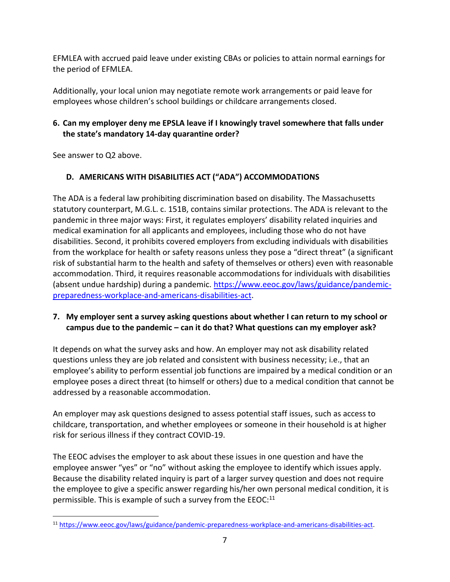EFMLEA with accrued paid leave under existing CBAs or policies to attain normal earnings for the period of EFMLEA.

Additionally, your local union may negotiate remote work arrangements or paid leave for employees whose children's school buildings or childcare arrangements closed.

### **6. Can my employer deny me EPSLA leave if I knowingly travel somewhere that falls under the state's mandatory 14-day quarantine order?**

See answer to Q2 above.

## **D. AMERICANS WITH DISABILITIES ACT ("ADA") ACCOMMODATIONS**

The ADA is a federal law prohibiting discrimination based on disability. The Massachusetts statutory counterpart, M.G.L. c. 151B, contains similar protections. The ADA is relevant to the pandemic in three major ways: First, it regulates employers' disability related inquiries and medical examination for all applicants and employees, including those who do not have disabilities. Second, it prohibits covered employers from excluding individuals with disabilities from the workplace for health or safety reasons unless they pose a "direct threat" (a significant risk of substantial harm to the health and safety of themselves or others) even with reasonable accommodation. Third, it requires reasonable accommodations for individuals with disabilities (absent undue hardship) during a pandemic. [https://www.eeoc.gov/laws/guidance/pandemic](https://www.eeoc.gov/laws/guidance/pandemic-preparedness-workplace-and-americans-disabilities-act)[preparedness-workplace-and-americans-disabilities-act.](https://www.eeoc.gov/laws/guidance/pandemic-preparedness-workplace-and-americans-disabilities-act)

### **7. My employer sent a survey asking questions about whether I can return to my school or campus due to the pandemic – can it do that? What questions can my employer ask?**

It depends on what the survey asks and how. An employer may not ask disability related questions unless they are job related and consistent with business necessity; i.e., that an employee's ability to perform essential job functions are impaired by a medical condition or an employee poses a direct threat (to himself or others) due to a medical condition that cannot be addressed by a reasonable accommodation.

An employer may ask questions designed to assess potential staff issues, such as access to childcare, transportation, and whether employees or someone in their household is at higher risk for serious illness if they contract COVID-19.

The EEOC advises the employer to ask about these issues in one question and have the employee answer "yes" or "no" without asking the employee to identify which issues apply. Because the disability related inquiry is part of a larger survey question and does not require the employee to give a specific answer regarding his/her own personal medical condition, it is permissible. This is example of such a survey from the  $EEOC<sup>11</sup>$ 

<sup>11</sup> [https://www.eeoc.gov/laws/guidance/pandemic-preparedness-workplace-and-americans-disabilities-act.](https://www.eeoc.gov/laws/guidance/pandemic-preparedness-workplace-and-americans-disabilities-act)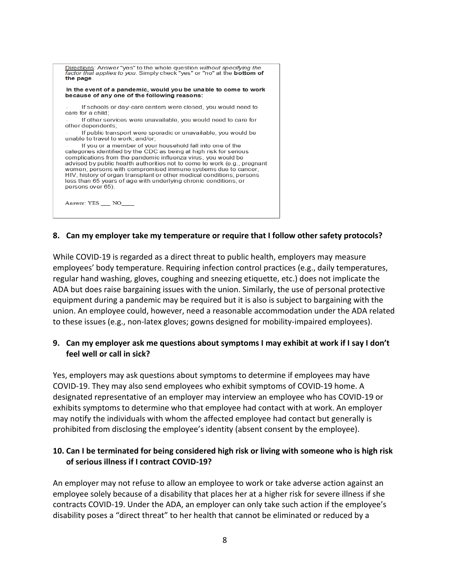

#### **8. Can my employer take my temperature or require that I follow other safety protocols?**

While COVID-19 is regarded as a direct threat to public health, employers may measure employees' body temperature. Requiring infection control practices (e.g., daily temperatures, regular hand washing, gloves, coughing and sneezing etiquette, etc.) does not implicate the ADA but does raise bargaining issues with the union. Similarly, the use of personal protective equipment during a pandemic may be required but it is also is subject to bargaining with the union. An employee could, however, need a reasonable accommodation under the ADA related to these issues (e.g., non-latex gloves; gowns designed for mobility-impaired employees).

#### **9. Can my employer ask me questions about symptoms I may exhibit at work if I say I don't feel well or call in sick?**

Yes, employers may ask questions about symptoms to determine if employees may have COVID-19. They may also send employees who exhibit symptoms of COVID-19 home. A designated representative of an employer may interview an employee who has COVID-19 or exhibits symptoms to determine who that employee had contact with at work. An employer may notify the individuals with whom the affected employee had contact but generally is prohibited from disclosing the employee's identity (absent consent by the employee).

#### **10. Can I be terminated for being considered high risk or living with someone who is high risk of serious illness if I contract COVID-19?**

An employer may not refuse to allow an employee to work or take adverse action against an employee solely because of a disability that places her at a higher risk for severe illness if she contracts COVID-19. Under the ADA, an employer can only take such action if the employee's disability poses a "direct threat" to her health that cannot be eliminated or reduced by a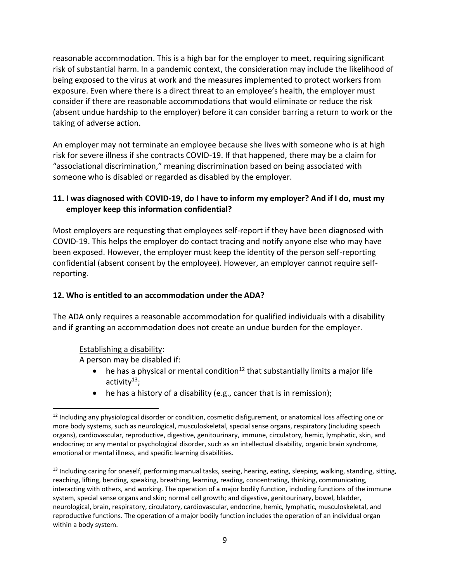reasonable accommodation. This is a high bar for the employer to meet, requiring significant risk of substantial harm. In a pandemic context, the consideration may include the likelihood of being exposed to the virus at work and the measures implemented to protect workers from exposure. Even where there is a direct threat to an employee's health, the employer must consider if there are reasonable accommodations that would eliminate or reduce the risk (absent undue hardship to the employer) before it can consider barring a return to work or the taking of adverse action.

An employer may not terminate an employee because she lives with someone who is at high risk for severe illness if she contracts COVID-19. If that happened, there may be a claim for "associational discrimination," meaning discrimination based on being associated with someone who is disabled or regarded as disabled by the employer.

### **11. I was diagnosed with COVID-19, do I have to inform my employer? And if I do, must my employer keep this information confidential?**

Most employers are requesting that employees self-report if they have been diagnosed with COVID-19. This helps the employer do contact tracing and notify anyone else who may have been exposed. However, the employer must keep the identity of the person self-reporting confidential (absent consent by the employee). However, an employer cannot require selfreporting.

#### **12. Who is entitled to an accommodation under the ADA?**

The ADA only requires a reasonable accommodation for qualified individuals with a disability and if granting an accommodation does not create an undue burden for the employer.

#### Establishing a disability:

A person may be disabled if:

- he has a physical or mental condition<sup>12</sup> that substantially limits a major life activity $13$ ;
- he has a history of a disability (e.g., cancer that is in remission);

 $12$  Including any physiological disorder or condition, cosmetic disfigurement, or anatomical loss affecting one or more body systems, such as neurological, musculoskeletal, special sense organs, respiratory (including speech organs), cardiovascular, reproductive, digestive, genitourinary, immune, circulatory, hemic, lymphatic, skin, and endocrine; or any mental or psychological disorder, such as an intellectual disability, organic brain syndrome, emotional or mental illness, and specific learning disabilities.

 $13$  Including caring for oneself, performing manual tasks, seeing, hearing, eating, sleeping, walking, standing, sitting, reaching, lifting, bending, speaking, breathing, learning, reading, concentrating, thinking, communicating, interacting with others, and working. The operation of a major bodily function, including functions of the immune system, special sense organs and skin; normal cell growth; and digestive, genitourinary, bowel, bladder, neurological, brain, respiratory, circulatory, cardiovascular, endocrine, hemic, lymphatic, musculoskeletal, and reproductive functions. The operation of a major bodily function includes the operation of an individual organ within a body system.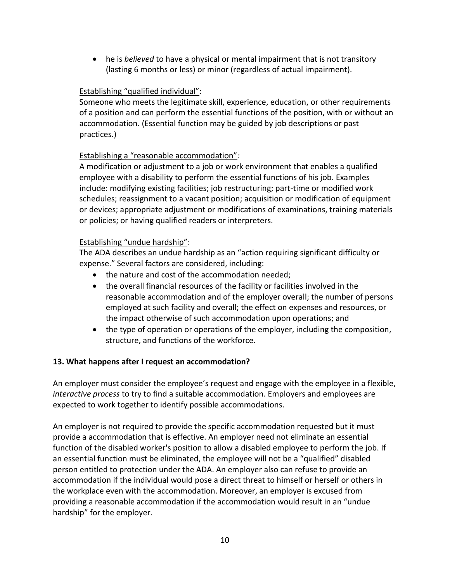• he is *believed* to have a physical or mental impairment that is not transitory (lasting 6 months or less) or minor (regardless of actual impairment).

### Establishing "qualified individual":

Someone who meets the legitimate skill, experience, education, or other requirements of a position and can perform the essential functions of the position, with or without an accommodation. (Essential function may be guided by job descriptions or past practices.)

### Establishing a "reasonable accommodation"*:*

A modification or adjustment to a job or work environment that enables a qualified employee with a disability to perform the essential functions of his job. Examples include: modifying existing facilities; job restructuring; part-time or modified work schedules; reassignment to a vacant position; acquisition or modification of equipment or devices; appropriate adjustment or modifications of examinations, training materials or policies; or having qualified readers or interpreters.

### Establishing "undue hardship":

The ADA describes an undue hardship as an "action requiring significant difficulty or expense." Several factors are considered, including:

- the nature and cost of the accommodation needed;
- the overall financial resources of the facility or facilities involved in the reasonable accommodation and of the employer overall; the number of persons employed at such facility and overall; the effect on expenses and resources, or the impact otherwise of such accommodation upon operations; and
- the type of operation or operations of the employer, including the composition, structure, and functions of the workforce.

### **13. What happens after I request an accommodation?**

An employer must consider the employee's request and engage with the employee in a flexible, *interactive process* to try to find a suitable accommodation. Employers and employees are expected to work together to identify possible accommodations.

An employer is not required to provide the specific accommodation requested but it must provide a accommodation that is effective. An employer need not eliminate an essential function of the disabled worker's position to allow a disabled employee to perform the job. If an essential function must be eliminated, the employee will not be a "qualified" disabled person entitled to protection under the ADA. An employer also can refuse to provide an accommodation if the individual would pose a direct threat to himself or herself or others in the workplace even with the accommodation. Moreover, an employer is excused from providing a reasonable accommodation if the accommodation would result in an "undue hardship" for the employer.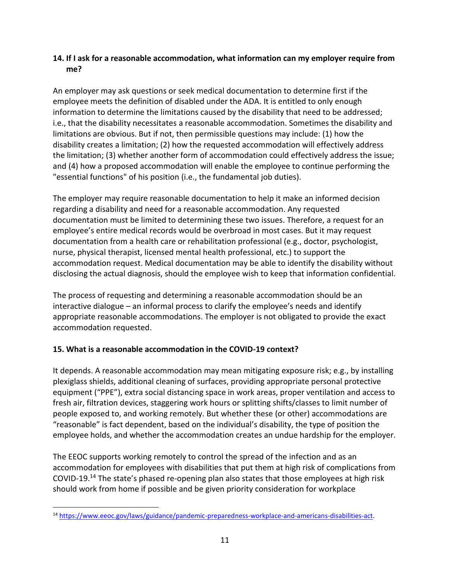#### **14. If I ask for a reasonable accommodation, what information can my employer require from me?**

An employer may ask questions or seek medical documentation to determine first if the employee meets the definition of disabled under the ADA. It is entitled to only enough information to determine the limitations caused by the disability that need to be addressed; i.e., that the disability necessitates a reasonable accommodation. Sometimes the disability and limitations are obvious. But if not, then permissible questions may include: (1) how the disability creates a limitation; (2) how the requested accommodation will effectively address the limitation; (3) whether another form of accommodation could effectively address the issue; and (4) how a proposed accommodation will enable the employee to continue performing the "essential functions" of his position (i.e., the fundamental job duties).

The employer may require reasonable documentation to help it make an informed decision regarding a disability and need for a reasonable accommodation. Any requested documentation must be limited to determining these two issues. Therefore, a request for an employee's entire medical records would be overbroad in most cases. But it may request documentation from a health care or rehabilitation professional (e.g., doctor, psychologist, nurse, physical therapist, licensed mental health professional, etc.) to support the accommodation request. Medical documentation may be able to identify the disability without disclosing the actual diagnosis, should the employee wish to keep that information confidential.

The process of requesting and determining a reasonable accommodation should be an interactive dialogue – an informal process to clarify the employee's needs and identify appropriate reasonable accommodations. The employer is not obligated to provide the exact accommodation requested.

### **15. What is a reasonable accommodation in the COVID-19 context?**

It depends. A reasonable accommodation may mean mitigating exposure risk; e.g., by installing plexiglass shields, additional cleaning of surfaces, providing appropriate personal protective equipment ("PPE"), extra social distancing space in work areas, proper ventilation and access to fresh air, filtration devices, staggering work hours or splitting shifts/classes to limit number of people exposed to, and working remotely. But whether these (or other) accommodations are "reasonable" is fact dependent, based on the individual's disability, the type of position the employee holds, and whether the accommodation creates an undue hardship for the employer.

The EEOC supports working remotely to control the spread of the infection and as an accommodation for employees with disabilities that put them at high risk of complications from COVID-19.<sup>14</sup> The state's phased re-opening plan also states that those employees at high risk should work from home if possible and be given priority consideration for workplace

<sup>14</sup> [https://www.eeoc.gov/laws/guidance/pandemic-preparedness-workplace-and-americans-disabilities-act.](https://www.eeoc.gov/laws/guidance/pandemic-preparedness-workplace-and-americans-disabilities-act)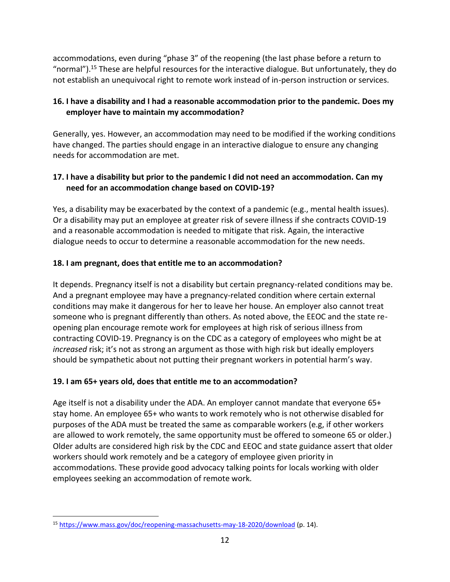accommodations, even during "phase 3" of the reopening (the last phase before a return to "normal").<sup>15</sup> These are helpful resources for the interactive dialogue. But unfortunately, they do not establish an unequivocal right to remote work instead of in-person instruction or services.

### **16. I have a disability and I had a reasonable accommodation prior to the pandemic. Does my employer have to maintain my accommodation?**

Generally, yes. However, an accommodation may need to be modified if the working conditions have changed. The parties should engage in an interactive dialogue to ensure any changing needs for accommodation are met.

### **17. I have a disability but prior to the pandemic I did not need an accommodation. Can my need for an accommodation change based on COVID-19?**

Yes, a disability may be exacerbated by the context of a pandemic (e.g., mental health issues). Or a disability may put an employee at greater risk of severe illness if she contracts COVID-19 and a reasonable accommodation is needed to mitigate that risk. Again, the interactive dialogue needs to occur to determine a reasonable accommodation for the new needs.

### **18. I am pregnant, does that entitle me to an accommodation?**

It depends. Pregnancy itself is not a disability but certain pregnancy-related conditions may be. And a pregnant employee may have a pregnancy-related condition where certain external conditions may make it dangerous for her to leave her house. An employer also cannot treat someone who is pregnant differently than others. As noted above, the EEOC and the state reopening plan encourage remote work for employees at high risk of serious illness from contracting COVID-19. Pregnancy is on the CDC as a category of employees who might be at *increased* risk; it's not as strong an argument as those with high risk but ideally employers should be sympathetic about not putting their pregnant workers in potential harm's way.

# **19. I am 65+ years old, does that entitle me to an accommodation?**

Age itself is not a disability under the ADA. An employer cannot mandate that everyone 65+ stay home. An employee 65+ who wants to work remotely who is not otherwise disabled for purposes of the ADA must be treated the same as comparable workers (e.g, if other workers are allowed to work remotely, the same opportunity must be offered to someone 65 or older.) Older adults are considered high risk by the CDC and EEOC and state guidance assert that older workers should work remotely and be a category of employee given priority in accommodations. These provide good advocacy talking points for locals working with older employees seeking an accommodation of remote work.

<sup>15</sup> <https://www.mass.gov/doc/reopening-massachusetts-may-18-2020/download> (p. 14).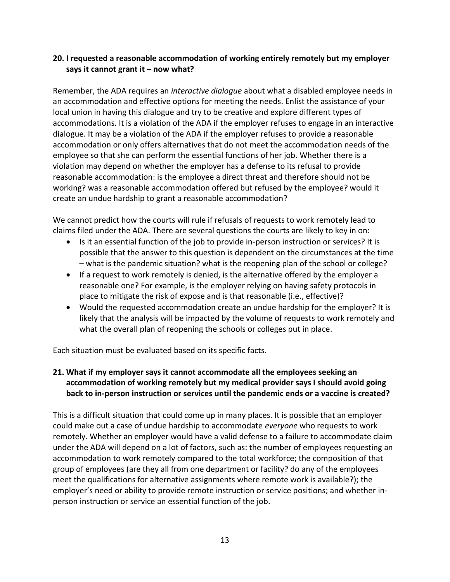#### **20. I requested a reasonable accommodation of working entirely remotely but my employer says it cannot grant it – now what?**

Remember, the ADA requires an *interactive dialogue* about what a disabled employee needs in an accommodation and effective options for meeting the needs. Enlist the assistance of your local union in having this dialogue and try to be creative and explore different types of accommodations. It is a violation of the ADA if the employer refuses to engage in an interactive dialogue. It may be a violation of the ADA if the employer refuses to provide a reasonable accommodation or only offers alternatives that do not meet the accommodation needs of the employee so that she can perform the essential functions of her job. Whether there is a violation may depend on whether the employer has a defense to its refusal to provide reasonable accommodation: is the employee a direct threat and therefore should not be working? was a reasonable accommodation offered but refused by the employee? would it create an undue hardship to grant a reasonable accommodation?

We cannot predict how the courts will rule if refusals of requests to work remotely lead to claims filed under the ADA. There are several questions the courts are likely to key in on:

- Is it an essential function of the job to provide in-person instruction or services? It is possible that the answer to this question is dependent on the circumstances at the time – what is the pandemic situation? what is the reopening plan of the school or college?
- If a request to work remotely is denied, is the alternative offered by the employer a reasonable one? For example, is the employer relying on having safety protocols in place to mitigate the risk of expose and is that reasonable (i.e., effective)?
- Would the requested accommodation create an undue hardship for the employer? It is likely that the analysis will be impacted by the volume of requests to work remotely and what the overall plan of reopening the schools or colleges put in place.

Each situation must be evaluated based on its specific facts.

### **21. What if my employer says it cannot accommodate all the employees seeking an accommodation of working remotely but my medical provider says I should avoid going back to in-person instruction or services until the pandemic ends or a vaccine is created?**

This is a difficult situation that could come up in many places. It is possible that an employer could make out a case of undue hardship to accommodate *everyone* who requests to work remotely. Whether an employer would have a valid defense to a failure to accommodate claim under the ADA will depend on a lot of factors, such as: the number of employees requesting an accommodation to work remotely compared to the total workforce; the composition of that group of employees (are they all from one department or facility? do any of the employees meet the qualifications for alternative assignments where remote work is available?); the employer's need or ability to provide remote instruction or service positions; and whether inperson instruction or service an essential function of the job.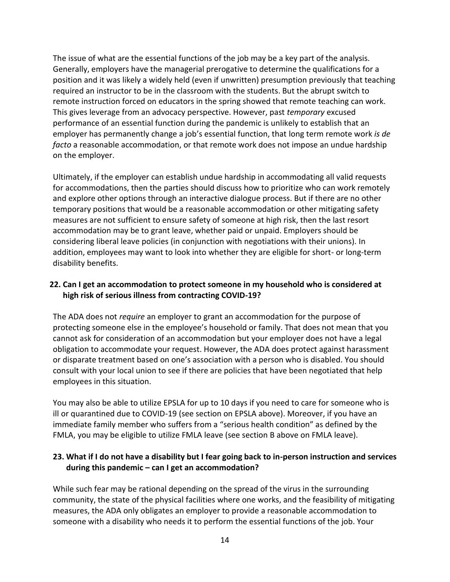The issue of what are the essential functions of the job may be a key part of the analysis. Generally, employers have the managerial prerogative to determine the qualifications for a position and it was likely a widely held (even if unwritten) presumption previously that teaching required an instructor to be in the classroom with the students. But the abrupt switch to remote instruction forced on educators in the spring showed that remote teaching can work. This gives leverage from an advocacy perspective. However, past *temporary* excused performance of an essential function during the pandemic is unlikely to establish that an employer has permanently change a job's essential function, that long term remote work *is de facto* a reasonable accommodation, or that remote work does not impose an undue hardship on the employer.

Ultimately, if the employer can establish undue hardship in accommodating all valid requests for accommodations, then the parties should discuss how to prioritize who can work remotely and explore other options through an interactive dialogue process. But if there are no other temporary positions that would be a reasonable accommodation or other mitigating safety measures are not sufficient to ensure safety of someone at high risk, then the last resort accommodation may be to grant leave, whether paid or unpaid. Employers should be considering liberal leave policies (in conjunction with negotiations with their unions). In addition, employees may want to look into whether they are eligible for short- or long-term disability benefits.

#### **22. Can I get an accommodation to protect someone in my household who is considered at high risk of serious illness from contracting COVID-19?**

The ADA does not *require* an employer to grant an accommodation for the purpose of protecting someone else in the employee's household or family. That does not mean that you cannot ask for consideration of an accommodation but your employer does not have a legal obligation to accommodate your request. However, the ADA does protect against harassment or disparate treatment based on one's association with a person who is disabled. You should consult with your local union to see if there are policies that have been negotiated that help employees in this situation.

You may also be able to utilize EPSLA for up to 10 days if you need to care for someone who is ill or quarantined due to COVID-19 (see section on EPSLA above). Moreover, if you have an immediate family member who suffers from a "serious health condition" as defined by the FMLA, you may be eligible to utilize FMLA leave (see section B above on FMLA leave).

### **23. What if I do not have a disability but I fear going back to in-person instruction and services during this pandemic – can I get an accommodation?**

While such fear may be rational depending on the spread of the virus in the surrounding community, the state of the physical facilities where one works, and the feasibility of mitigating measures, the ADA only obligates an employer to provide a reasonable accommodation to someone with a disability who needs it to perform the essential functions of the job. Your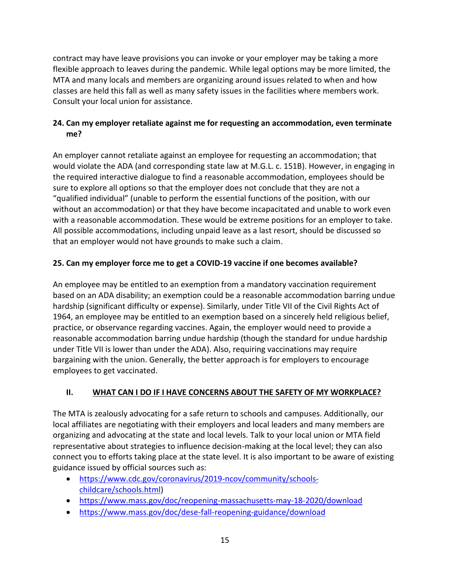contract may have leave provisions you can invoke or your employer may be taking a more flexible approach to leaves during the pandemic. While legal options may be more limited, the MTA and many locals and members are organizing around issues related to when and how classes are held this fall as well as many safety issues in the facilities where members work. Consult your local union for assistance.

### **24. Can my employer retaliate against me for requesting an accommodation, even terminate me?**

An employer cannot retaliate against an employee for requesting an accommodation; that would violate the ADA (and corresponding state law at M.G.L. c. 151B). However, in engaging in the required interactive dialogue to find a reasonable accommodation, employees should be sure to explore all options so that the employer does not conclude that they are not a "qualified individual" (unable to perform the essential functions of the position, with our without an accommodation) or that they have become incapacitated and unable to work even with a reasonable accommodation. These would be extreme positions for an employer to take. All possible accommodations, including unpaid leave as a last resort, should be discussed so that an employer would not have grounds to make such a claim.

## **25. Can my employer force me to get a COVID-19 vaccine if one becomes available?**

An employee may be entitled to an exemption from a mandatory vaccination requirement based on an ADA disability; an exemption could be a reasonable accommodation barring undue hardship (significant difficulty or expense). Similarly, under Title VII of the Civil Rights Act of 1964, an employee may be entitled to an exemption based on a sincerely held religious belief, practice, or observance regarding vaccines. Again, the employer would need to provide a reasonable accommodation barring undue hardship (though the standard for undue hardship under Title VII is lower than under the ADA). Also, requiring vaccinations may require bargaining with the union. Generally, the better approach is for employers to encourage employees to get vaccinated.

### **II. WHAT CAN I DO IF I HAVE CONCERNS ABOUT THE SAFETY OF MY WORKPLACE?**

The MTA is zealously advocating for a safe return to schools and campuses. Additionally, our local affiliates are negotiating with their employers and local leaders and many members are organizing and advocating at the state and local levels. Talk to your local union or MTA field representative about strategies to influence decision-making at the local level; they can also connect you to efforts taking place at the state level. It is also important to be aware of existing guidance issued by official sources such as:

- [https://www.cdc.gov/coronavirus/2019-ncov/community/schools](https://www.cdc.gov/coronavirus/2019-ncov/community/schools-childcare/schools.html)[childcare/schools.html\)](https://www.cdc.gov/coronavirus/2019-ncov/community/schools-childcare/schools.html)
- <https://www.mass.gov/doc/reopening-massachusetts-may-18-2020/download>
- <https://www.mass.gov/doc/dese-fall-reopening-guidance/download>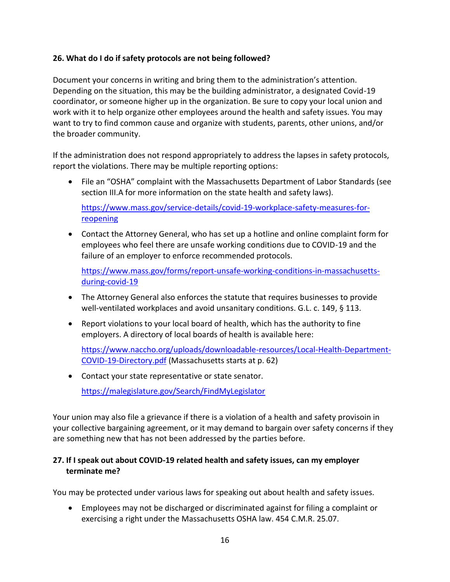#### **26. What do I do if safety protocols are not being followed?**

Document your concerns in writing and bring them to the administration's attention. Depending on the situation, this may be the building administrator, a designated Covid-19 coordinator, or someone higher up in the organization. Be sure to copy your local union and work with it to help organize other employees around the health and safety issues. You may want to try to find common cause and organize with students, parents, other unions, and/or the broader community.

If the administration does not respond appropriately to address the lapses in safety protocols, report the violations. There may be multiple reporting options:

• File an "OSHA" complaint with the Massachusetts Department of Labor Standards (see section III.A for more information on the state health and safety laws).

[https://www.mass.gov/service-details/covid-19-workplace-safety-measures-for](https://www.mass.gov/service-details/covid-19-workplace-safety-measures-for-reopening)[reopening](https://www.mass.gov/service-details/covid-19-workplace-safety-measures-for-reopening)

• Contact the Attorney General, who has set up a hotline and online complaint form for employees who feel there are unsafe working conditions due to COVID-19 and the failure of an employer to enforce recommended protocols.

[https://www.mass.gov/forms/report-unsafe-working-conditions-in-massachusetts](https://www.mass.gov/forms/report-unsafe-working-conditions-in-massachusetts-during-covid-19)[during-covid-19](https://www.mass.gov/forms/report-unsafe-working-conditions-in-massachusetts-during-covid-19)

- The Attorney General also enforces the statute that requires businesses to provide well-ventilated workplaces and avoid unsanitary conditions. G.L. c. 149, § 113.
- Report violations to your local board of health, which has the authority to fine employers. A directory of local boards of health is available here:

[https://www.naccho.org/uploads/downloadable-resources/Local-Health-Department-](https://www.naccho.org/uploads/downloadable-resources/Local-Health-Department-COVID-19-Directory.pdf)[COVID-19-Directory.pdf](https://www.naccho.org/uploads/downloadable-resources/Local-Health-Department-COVID-19-Directory.pdf) (Massachusetts starts at p. 62)

• Contact your state representative or state senator.

<https://malegislature.gov/Search/FindMyLegislator>

Your union may also file a grievance if there is a violation of a health and safety provisoin in your collective bargaining agreement, or it may demand to bargain over safety concerns if they are something new that has not been addressed by the parties before.

### **27. If I speak out about COVID-19 related health and safety issues, can my employer terminate me?**

You may be protected under various laws for speaking out about health and safety issues.

• Employees may not be discharged or discriminated against for filing a complaint or exercising a right under the Massachusetts OSHA law. 454 C.M.R. 25.07.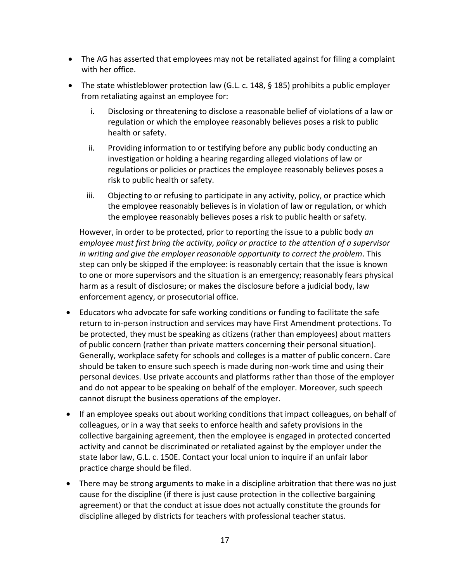- The AG has asserted that employees may not be retaliated against for filing a complaint with her office.
- The state whistleblower protection law (G.L. c. 148, § 185) prohibits a public employer from retaliating against an employee for:
	- i. Disclosing or threatening to disclose a reasonable belief of violations of a law or regulation or which the employee reasonably believes poses a risk to public health or safety.
	- ii. Providing information to or testifying before any public body conducting an investigation or holding a hearing regarding alleged violations of law or regulations or policies or practices the employee reasonably believes poses a risk to public health or safety.
	- iii. Objecting to or refusing to participate in any activity, policy, or practice which the employee reasonably believes is in violation of law or regulation, or which the employee reasonably believes poses a risk to public health or safety.

However, in order to be protected, prior to reporting the issue to a public body *an employee must first bring the activity, policy or practice to the attention of a supervisor in writing and give the employer reasonable opportunity to correct the problem*. This step can only be skipped if the employee: is reasonably certain that the issue is known to one or more supervisors and the situation is an emergency; reasonably fears physical harm as a result of disclosure; or makes the disclosure before a judicial body, law enforcement agency, or prosecutorial office.

- Educators who advocate for safe working conditions or funding to facilitate the safe return to in-person instruction and services may have First Amendment protections. To be protected, they must be speaking as citizens (rather than employees) about matters of public concern (rather than private matters concerning their personal situation). Generally, workplace safety for schools and colleges is a matter of public concern. Care should be taken to ensure such speech is made during non-work time and using their personal devices. Use private accounts and platforms rather than those of the employer and do not appear to be speaking on behalf of the employer. Moreover, such speech cannot disrupt the business operations of the employer.
- If an employee speaks out about working conditions that impact colleagues, on behalf of colleagues, or in a way that seeks to enforce health and safety provisions in the collective bargaining agreement, then the employee is engaged in protected concerted activity and cannot be discriminated or retaliated against by the employer under the state labor law, G.L. c. 150E. Contact your local union to inquire if an unfair labor practice charge should be filed.
- There may be strong arguments to make in a discipline arbitration that there was no just cause for the discipline (if there is just cause protection in the collective bargaining agreement) or that the conduct at issue does not actually constitute the grounds for discipline alleged by districts for teachers with professional teacher status.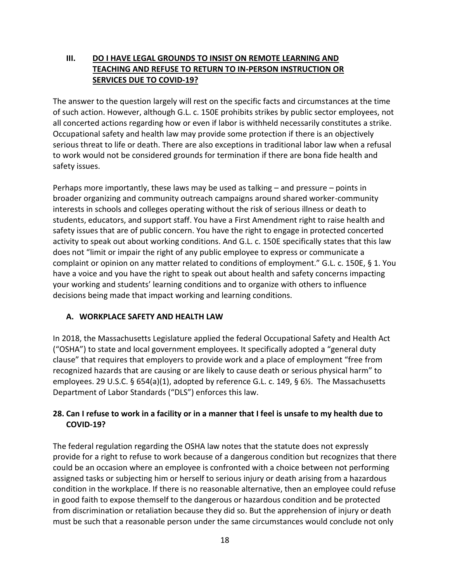### **III. DO I HAVE LEGAL GROUNDS TO INSIST ON REMOTE LEARNING AND TEACHING AND REFUSE TO RETURN TO IN-PERSON INSTRUCTION OR SERVICES DUE TO COVID-19?**

The answer to the question largely will rest on the specific facts and circumstances at the time of such action. However, although G.L. c. 150E prohibits strikes by public sector employees, not all concerted actions regarding how or even if labor is withheld necessarily constitutes a strike. Occupational safety and health law may provide some protection if there is an objectively serious threat to life or death. There are also exceptions in traditional labor law when a refusal to work would not be considered grounds for termination if there are bona fide health and safety issues.

Perhaps more importantly, these laws may be used as talking – and pressure – points in broader organizing and community outreach campaigns around shared worker-community interests in schools and colleges operating without the risk of serious illness or death to students, educators, and support staff. You have a First Amendment right to raise health and safety issues that are of public concern. You have the right to engage in protected concerted activity to speak out about working conditions. And G.L. c. 150E specifically states that this law does not "limit or impair the right of any public employee to express or communicate a complaint or opinion on any matter related to conditions of employment." G.L. c. 150E, § 1. You have a voice and you have the right to speak out about health and safety concerns impacting your working and students' learning conditions and to organize with others to influence decisions being made that impact working and learning conditions.

### **A. WORKPLACE SAFETY AND HEALTH LAW**

In 2018, the Massachusetts Legislature applied the federal Occupational Safety and Health Act ("OSHA") to state and local government employees. It specifically adopted a "general duty clause" that requires that employers to provide work and a place of employment "free from recognized hazards that are causing or are likely to cause death or serious physical harm" to employees. 29 U.S.C. § 654(a)(1), adopted by reference G.L. c. 149, § 6½. The Massachusetts Department of Labor Standards ("DLS") enforces this law.

### **28. Can I refuse to work in a facility or in a manner that I feel is unsafe to my health due to COVID-19?**

The federal regulation regarding the OSHA law notes that the statute does not expressly provide for a right to refuse to work because of a dangerous condition but recognizes that there could be an occasion where an employee is confronted with a choice between not performing assigned tasks or subjecting him or herself to serious injury or death arising from a hazardous condition in the workplace. If there is no reasonable alternative, then an employee could refuse in good faith to expose themself to the dangerous or hazardous condition and be protected from discrimination or retaliation because they did so. But the apprehension of injury or death must be such that a reasonable person under the same circumstances would conclude not only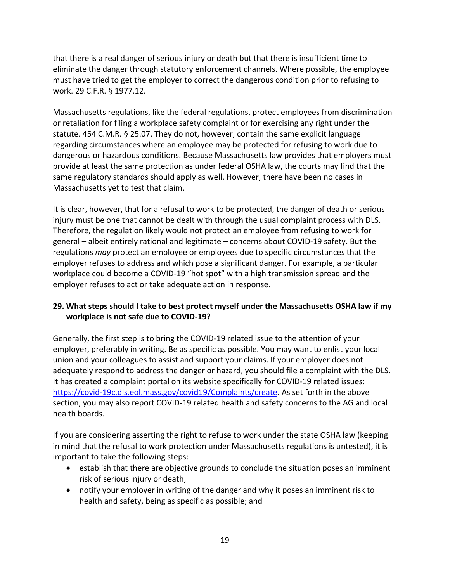that there is a real danger of serious injury or death but that there is insufficient time to eliminate the danger through statutory enforcement channels. Where possible, the employee must have tried to get the employer to correct the dangerous condition prior to refusing to work. 29 C.F.R. § 1977.12.

Massachusetts regulations, like the federal regulations, protect employees from discrimination or retaliation for filing a workplace safety complaint or for exercising any right under the statute. 454 C.M.R. § 25.07. They do not, however, contain the same explicit language regarding circumstances where an employee may be protected for refusing to work due to dangerous or hazardous conditions. Because Massachusetts law provides that employers must provide at least the same protection as under federal OSHA law, the courts may find that the same regulatory standards should apply as well. However, there have been no cases in Massachusetts yet to test that claim.

It is clear, however, that for a refusal to work to be protected, the danger of death or serious injury must be one that cannot be dealt with through the usual complaint process with DLS. Therefore, the regulation likely would not protect an employee from refusing to work for general – albeit entirely rational and legitimate – concerns about COVID-19 safety. But the regulations *may* protect an employee or employees due to specific circumstances that the employer refuses to address and which pose a significant danger. For example, a particular workplace could become a COVID-19 "hot spot" with a high transmission spread and the employer refuses to act or take adequate action in response.

### **29. What steps should I take to best protect myself under the Massachusetts OSHA law if my workplace is not safe due to COVID-19?**

Generally, the first step is to bring the COVID-19 related issue to the attention of your employer, preferably in writing. Be as specific as possible. You may want to enlist your local union and your colleagues to assist and support your claims. If your employer does not adequately respond to address the danger or hazard, you should file a complaint with the DLS. It has created a complaint portal on its website specifically for COVID-19 related issues: [https://covid-19c.dls.eol.mass.gov/covid19/Complaints/create.](https://covid-19c.dls.eol.mass.gov/covid19/Complaints/create) As set forth in the above section, you may also report COVID-19 related health and safety concerns to the AG and local health boards.

If you are considering asserting the right to refuse to work under the state OSHA law (keeping in mind that the refusal to work protection under Massachusetts regulations is untested), it is important to take the following steps:

- establish that there are objective grounds to conclude the situation poses an imminent risk of serious injury or death;
- notify your employer in writing of the danger and why it poses an imminent risk to health and safety, being as specific as possible; and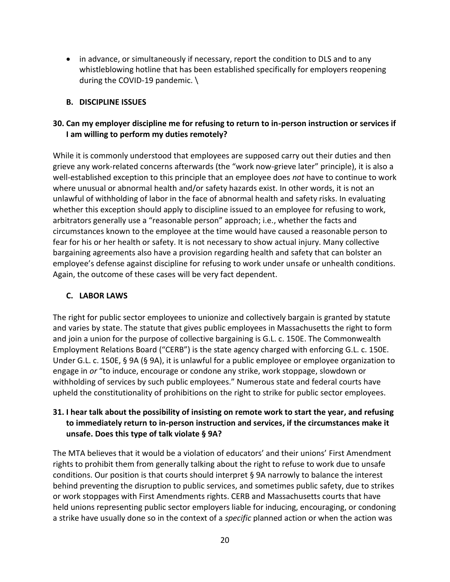• in advance, or simultaneously if necessary, report the condition to DLS and to any whistleblowing hotline that has been established specifically for employers reopening during the COVID-19 pandemic. \

#### **B. DISCIPLINE ISSUES**

### **30. Can my employer discipline me for refusing to return to in-person instruction or services if I am willing to perform my duties remotely?**

While it is commonly understood that employees are supposed carry out their duties and then grieve any work-related concerns afterwards (the "work now-grieve later" principle), it is also a well-established exception to this principle that an employee does *not* have to continue to work where unusual or abnormal health and/or safety hazards exist. In other words, it is not an unlawful of withholding of labor in the face of abnormal health and safety risks. In evaluating whether this exception should apply to discipline issued to an employee for refusing to work, arbitrators generally use a "reasonable person" approach; i.e., whether the facts and circumstances known to the employee at the time would have caused a reasonable person to fear for his or her health or safety. It is not necessary to show actual injury. Many collective bargaining agreements also have a provision regarding health and safety that can bolster an employee's defense against discipline for refusing to work under unsafe or unhealth conditions. Again, the outcome of these cases will be very fact dependent.

#### **C. LABOR LAWS**

The right for public sector employees to unionize and collectively bargain is granted by statute and varies by state. The statute that gives public employees in Massachusetts the right to form and join a union for the purpose of collective bargaining is G.L. c. 150E. The Commonwealth Employment Relations Board ("CERB") is the state agency charged with enforcing G.L. c. 150E. Under G.L. c. 150E, § 9A (§ 9A), it is unlawful for a public employee or employee organization to engage in *or* "to induce, encourage or condone any strike, work stoppage, slowdown or withholding of services by such public employees." Numerous state and federal courts have upheld the constitutionality of prohibitions on the right to strike for public sector employees.

### **31. I hear talk about the possibility of insisting on remote work to start the year, and refusing to immediately return to in-person instruction and services, if the circumstances make it unsafe. Does this type of talk violate § 9A?**

The MTA believes that it would be a violation of educators' and their unions' First Amendment rights to prohibit them from generally talking about the right to refuse to work due to unsafe conditions. Our position is that courts should interpret § 9A narrowly to balance the interest behind preventing the disruption to public services, and sometimes public safety, due to strikes or work stoppages with First Amendments rights. CERB and Massachusetts courts that have held unions representing public sector employers liable for inducing, encouraging, or condoning a strike have usually done so in the context of a *specific* planned action or when the action was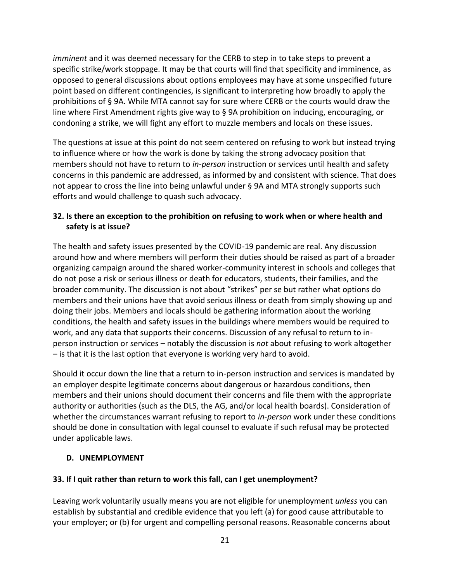*imminent* and it was deemed necessary for the CERB to step in to take steps to prevent a specific strike/work stoppage. It may be that courts will find that specificity and imminence, as opposed to general discussions about options employees may have at some unspecified future point based on different contingencies, is significant to interpreting how broadly to apply the prohibitions of § 9A. While MTA cannot say for sure where CERB or the courts would draw the line where First Amendment rights give way to § 9A prohibition on inducing, encouraging, or condoning a strike, we will fight any effort to muzzle members and locals on these issues.

The questions at issue at this point do not seem centered on refusing to work but instead trying to influence where or how the work is done by taking the strong advocacy position that members should not have to return to *in-person* instruction or services until health and safety concerns in this pandemic are addressed, as informed by and consistent with science. That does not appear to cross the line into being unlawful under § 9A and MTA strongly supports such efforts and would challenge to quash such advocacy.

### **32. Is there an exception to the prohibition on refusing to work when or where health and safety is at issue?**

The health and safety issues presented by the COVID-19 pandemic are real. Any discussion around how and where members will perform their duties should be raised as part of a broader organizing campaign around the shared worker-community interest in schools and colleges that do not pose a risk or serious illness or death for educators, students, their families, and the broader community. The discussion is not about "strikes" per se but rather what options do members and their unions have that avoid serious illness or death from simply showing up and doing their jobs. Members and locals should be gathering information about the working conditions, the health and safety issues in the buildings where members would be required to work, and any data that supports their concerns. Discussion of any refusal to return to inperson instruction or services – notably the discussion is *not* about refusing to work altogether – is that it is the last option that everyone is working very hard to avoid.

Should it occur down the line that a return to in-person instruction and services is mandated by an employer despite legitimate concerns about dangerous or hazardous conditions, then members and their unions should document their concerns and file them with the appropriate authority or authorities (such as the DLS, the AG, and/or local health boards). Consideration of whether the circumstances warrant refusing to report to *in-person* work under these conditions should be done in consultation with legal counsel to evaluate if such refusal may be protected under applicable laws.

### **D. UNEMPLOYMENT**

#### **33. If I quit rather than return to work this fall, can I get unemployment?**

Leaving work voluntarily usually means you are not eligible for unemployment *unless* you can establish by substantial and credible evidence that you left (a) for good cause attributable to your employer; or (b) for urgent and compelling personal reasons. Reasonable concerns about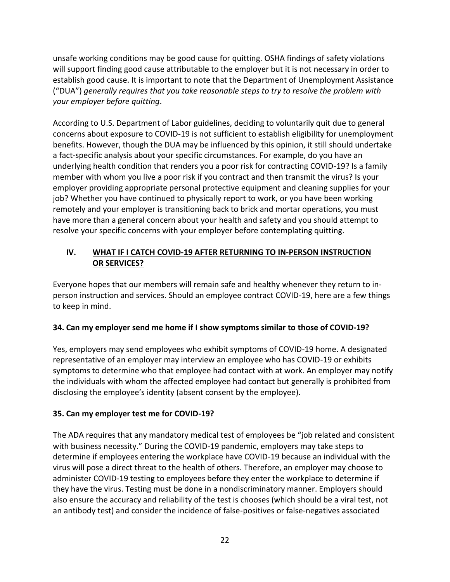unsafe working conditions may be good cause for quitting. OSHA findings of safety violations will support finding good cause attributable to the employer but it is not necessary in order to establish good cause. It is important to note that the Department of Unemployment Assistance ("DUA") *generally requires that you take reasonable steps to try to resolve the problem with your employer before quitting*.

According to U.S. Department of Labor guidelines, deciding to voluntarily quit due to general concerns about exposure to COVID-19 is not sufficient to establish eligibility for unemployment benefits. However, though the DUA may be influenced by this opinion, it still should undertake a fact-specific analysis about your specific circumstances. For example, do you have an underlying health condition that renders you a poor risk for contracting COVID-19? Is a family member with whom you live a poor risk if you contract and then transmit the virus? Is your employer providing appropriate personal protective equipment and cleaning supplies for your job? Whether you have continued to physically report to work, or you have been working remotely and your employer is transitioning back to brick and mortar operations, you must have more than a general concern about your health and safety and you should attempt to resolve your specific concerns with your employer before contemplating quitting.

### **IV. WHAT IF I CATCH COVID-19 AFTER RETURNING TO IN-PERSON INSTRUCTION OR SERVICES?**

Everyone hopes that our members will remain safe and healthy whenever they return to inperson instruction and services. Should an employee contract COVID-19, here are a few things to keep in mind.

### **34. Can my employer send me home if I show symptoms similar to those of COVID-19?**

Yes, employers may send employees who exhibit symptoms of COVID-19 home. A designated representative of an employer may interview an employee who has COVID-19 or exhibits symptoms to determine who that employee had contact with at work. An employer may notify the individuals with whom the affected employee had contact but generally is prohibited from disclosing the employee's identity (absent consent by the employee).

#### **35. Can my employer test me for COVID-19?**

The ADA requires that any mandatory medical test of employees be "job related and consistent with business necessity." During the COVID-19 pandemic, employers may take steps to determine if employees entering the workplace have COVID-19 because an individual with the virus will pose a direct threat to the health of others. Therefore, an employer may choose to administer COVID-19 testing to employees before they enter the workplace to determine if they have the virus. Testing must be done in a nondiscriminatory manner. Employers should also ensure the accuracy and reliability of the test is chooses (which should be a viral test, not an antibody test) and consider the incidence of false-positives or false-negatives associated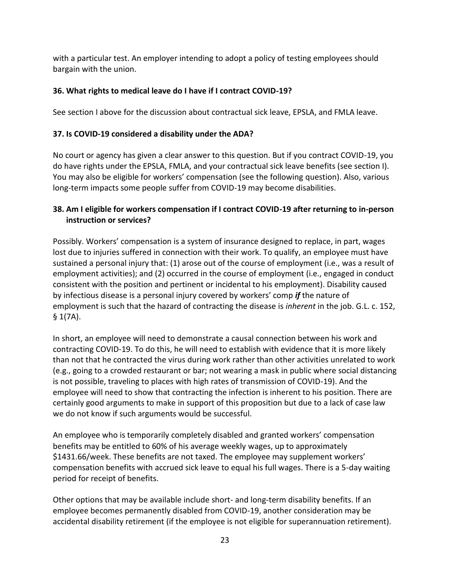with a particular test. An employer intending to adopt a policy of testing employees should bargain with the union.

### **36. What rights to medical leave do I have if I contract COVID-19?**

See section I above for the discussion about contractual sick leave, EPSLA, and FMLA leave.

### **37. Is COVID-19 considered a disability under the ADA?**

No court or agency has given a clear answer to this question. But if you contract COVID-19, you do have rights under the EPSLA, FMLA, and your contractual sick leave benefits (see section I). You may also be eligible for workers' compensation (see the following question). Also, various long-term impacts some people suffer from COVID-19 may become disabilities.

#### **38. Am I eligible for workers compensation if I contract COVID-19 after returning to in-person instruction or services?**

Possibly. Workers' compensation is a system of insurance designed to replace, in part, wages lost due to injuries suffered in connection with their work. To qualify, an employee must have sustained a personal injury that: (1) arose out of the course of employment (i.e., was a result of employment activities); and (2) occurred in the course of employment (i.e., engaged in conduct consistent with the position and pertinent or incidental to his employment). Disability caused by infectious disease is a personal injury covered by workers' comp *if* the nature of employment is such that the hazard of contracting the disease is *inherent* in the job. G.L. c. 152,  $$1(7A).$ 

In short, an employee will need to demonstrate a causal connection between his work and contracting COVID-19. To do this, he will need to establish with evidence that it is more likely than not that he contracted the virus during work rather than other activities unrelated to work (e.g., going to a crowded restaurant or bar; not wearing a mask in public where social distancing is not possible, traveling to places with high rates of transmission of COVID-19). And the employee will need to show that contracting the infection is inherent to his position. There are certainly good arguments to make in support of this proposition but due to a lack of case law we do not know if such arguments would be successful.

An employee who is temporarily completely disabled and granted workers' compensation benefits may be entitled to 60% of his average weekly wages, up to approximately \$1431.66/week. These benefits are not taxed. The employee may supplement workers' compensation benefits with accrued sick leave to equal his full wages. There is a 5-day waiting period for receipt of benefits.

Other options that may be available include short- and long-term disability benefits. If an employee becomes permanently disabled from COVID-19, another consideration may be accidental disability retirement (if the employee is not eligible for superannuation retirement).